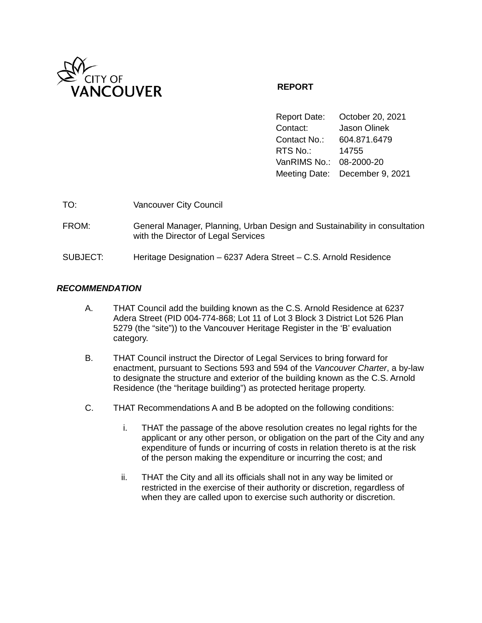

# **REPORT**

Report Date: October 20, 2021 Contact: Jason Olinek Contact No.: 604.871.6479 RTS No.: 14755 VanRIMS No.: 08-2000-20 Meeting Date: December 9, 2021

| TO:      | <b>Vancouver City Council</b>                                                                                     |
|----------|-------------------------------------------------------------------------------------------------------------------|
| FROM:    | General Manager, Planning, Urban Design and Sustainability in consultation<br>with the Director of Legal Services |
| SUBJECT: | Heritage Designation - 6237 Adera Street - C.S. Arnold Residence                                                  |

### *RECOMMENDATION*

- A. THAT Council add the building known as the C.S. Arnold Residence at 6237 Adera Street (PID 004-774-868; Lot 11 of Lot 3 Block 3 District Lot 526 Plan 5279 (the "site")) to the Vancouver Heritage Register in the 'B' evaluation category.
- B. THAT Council instruct the Director of Legal Services to bring forward for enactment, pursuant to Sections 593 and 594 of the *Vancouver Charter*, a by-law to designate the structure and exterior of the building known as the C.S. Arnold Residence (the "heritage building") as protected heritage property.
- C. THAT Recommendations A and B be adopted on the following conditions:
	- i. THAT the passage of the above resolution creates no legal rights for the applicant or any other person, or obligation on the part of the City and any expenditure of funds or incurring of costs in relation thereto is at the risk of the person making the expenditure or incurring the cost; and
	- ii. THAT the City and all its officials shall not in any way be limited or restricted in the exercise of their authority or discretion, regardless of when they are called upon to exercise such authority or discretion.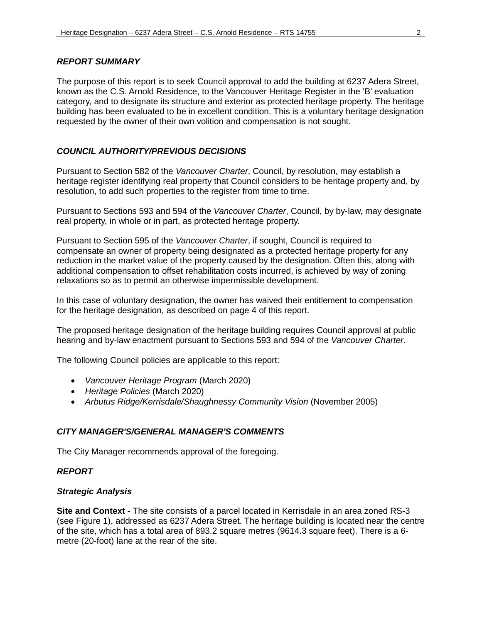### *REPORT SUMMARY*

The purpose of this report is to seek Council approval to add the building at 6237 Adera Street, known as the C.S. Arnold Residence, to the Vancouver Heritage Register in the 'B' evaluation category, and to designate its structure and exterior as protected heritage property. The heritage building has been evaluated to be in excellent condition. This is a voluntary heritage designation requested by the owner of their own volition and compensation is not sought.

## *COUNCIL AUTHORITY/PREVIOUS DECISIONS*

Pursuant to Section 582 of the *Vancouver Charter*, Council, by resolution, may establish a heritage register identifying real property that Council considers to be heritage property and, by resolution, to add such properties to the register from time to time.

Pursuant to Sections 593 and 594 of the *Vancouver Charter*, Council, by by-law, may designate real property, in whole or in part, as protected heritage property.

Pursuant to Section 595 of the *Vancouver Charter*, if sought, Council is required to compensate an owner of property being designated as a protected heritage property for any reduction in the market value of the property caused by the designation. Often this, along with additional compensation to offset rehabilitation costs incurred, is achieved by way of zoning relaxations so as to permit an otherwise impermissible development.

In this case of voluntary designation, the owner has waived their entitlement to compensation for the heritage designation, as described on page 4 of this report.

The proposed heritage designation of the heritage building requires Council approval at public hearing and by-law enactment pursuant to Sections 593 and 594 of the *Vancouver Charter*.

The following Council policies are applicable to this report:

- *Vancouver Heritage Program* (March 2020)
- *Heritage Policies* (March 2020)
- Arbutus Ridge/Kerrisdale/Shaughnessy Community Vision (November 2005)

### *CITY MANAGER'S/GENERAL MANAGER'S COMMENTS*

The City Manager recommends approval of the foregoing.

#### *REPORT*

#### *Strategic Analysis*

**Site and Context -** The site consists of a parcel located in Kerrisdale in an area zoned RS-3 (see Figure 1), addressed as 6237 Adera Street. The heritage building is located near the centre of the site, which has a total area of 893.2 square metres (9614.3 square feet). There is a 6 metre (20-foot) lane at the rear of the site.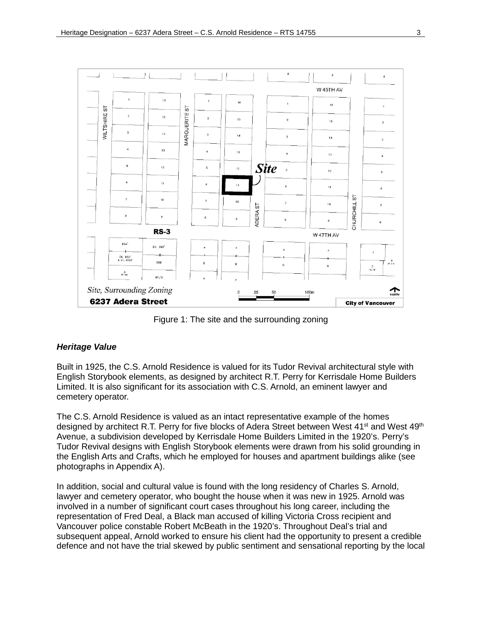

Figure 1: The site and the surrounding zoning

### *Heritage Value*

Built in 1925, the C.S. Arnold Residence is valued for its Tudor Revival architectural style with English Storybook elements, as designed by architect R.T. Perry for Kerrisdale Home Builders Limited. It is also significant for its association with C.S. Arnold, an eminent lawyer and cemetery operator.

The C.S. Arnold Residence is valued as an intact representative example of the homes designed by architect R.T. Perry for five blocks of Adera Street between West  $41<sup>st</sup>$  and West  $49<sup>th</sup>$ Avenue, a subdivision developed by Kerrisdale Home Builders Limited in the 1920's. Perry's Tudor Revival designs with English Storybook elements were drawn from his solid grounding in the English Arts and Crafts, which he employed for houses and apartment buildings alike (see photographs in Appendix A).

In addition, social and cultural value is found with the long residency of Charles S. Arnold, lawyer and cemetery operator, who bought the house when it was new in 1925. Arnold was involved in a number of significant court cases throughout his long career, including the representation of Fred Deal, a Black man accused of killing Victoria Cross recipient and Vancouver police constable Robert McBeath in the 1920's. Throughout Deal's trial and subsequent appeal, Arnold worked to ensure his client had the opportunity to present a credible defence and not have the trial skewed by public sentiment and sensational reporting by the local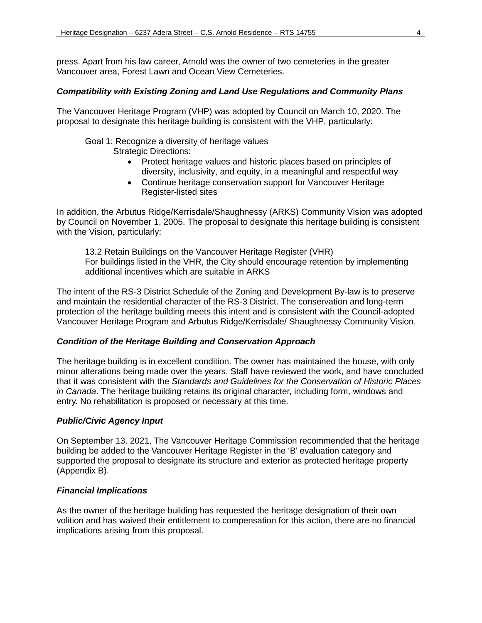press. Apart from his law career, Arnold was the owner of two cemeteries in the greater Vancouver area, Forest Lawn and Ocean View Cemeteries.

#### *Compatibility with Existing Zoning and Land Use Regulations and Community Plans*

The Vancouver Heritage Program (VHP) was adopted by Council on March 10, 2020. The proposal to designate this heritage building is consistent with the VHP, particularly:

Goal 1: Recognize a diversity of heritage values

- Strategic Directions:
	- Protect heritage values and historic places based on principles of diversity, inclusivity, and equity, in a meaningful and respectful way
	- Continue heritage conservation support for Vancouver Heritage Register-listed sites

In addition, the Arbutus Ridge/Kerrisdale/Shaughnessy (ARKS) Community Vision was adopted by Council on November 1, 2005. The proposal to designate this heritage building is consistent with the Vision, particularly:

13.2 Retain Buildings on the Vancouver Heritage Register (VHR) For buildings listed in the VHR, the City should encourage retention by implementing additional incentives which are suitable in ARKS

The intent of the RS-3 District Schedule of the Zoning and Development By-law is to preserve and maintain the residential character of the RS-3 District. The conservation and long-term protection of the heritage building meets this intent and is consistent with the Council-adopted Vancouver Heritage Program and Arbutus Ridge/Kerrisdale/ Shaughnessy Community Vision.

#### *Condition of the Heritage Building and Conservation Approach*

The heritage building is in excellent condition. The owner has maintained the house, with only minor alterations being made over the years. Staff have reviewed the work, and have concluded that it was consistent with the *Standards and Guidelines for the Conservation of Historic Places in Canada*. The heritage building retains its original character, including form, windows and entry. No rehabilitation is proposed or necessary at this time.

#### *Public/Civic Agency Input*

On September 13, 2021, The Vancouver Heritage Commission recommended that the heritage building be added to the Vancouver Heritage Register in the 'B' evaluation category and supported the proposal to designate its structure and exterior as protected heritage property (Appendix B).

#### *Financial Implications*

As the owner of the heritage building has requested the heritage designation of their own volition and has waived their entitlement to compensation for this action, there are no financial implications arising from this proposal.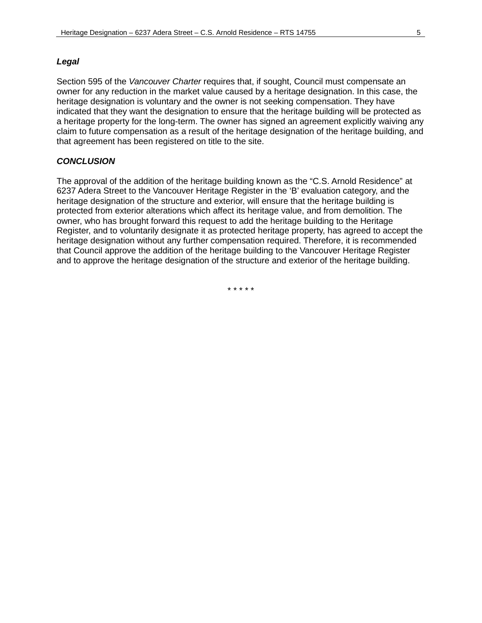Section 595 of the *Vancouver Charter* requires that, if sought, Council must compensate an owner for any reduction in the market value caused by a heritage designation. In this case, the heritage designation is voluntary and the owner is not seeking compensation. They have indicated that they want the designation to ensure that the heritage building will be protected as a heritage property for the long-term. The owner has signed an agreement explicitly waiving any claim to future compensation as a result of the heritage designation of the heritage building, and that agreement has been registered on title to the site.

#### *CONCLUSION*

The approval of the addition of the heritage building known as the "C.S. Arnold Residence" at 6237 Adera Street to the Vancouver Heritage Register in the 'B' evaluation category, and the heritage designation of the structure and exterior, will ensure that the heritage building is protected from exterior alterations which affect its heritage value, and from demolition. The owner, who has brought forward this request to add the heritage building to the Heritage Register, and to voluntarily designate it as protected heritage property, has agreed to accept the heritage designation without any further compensation required. Therefore, it is recommended that Council approve the addition of the heritage building to the Vancouver Heritage Register and to approve the heritage designation of the structure and exterior of the heritage building.

\* \* \* \* \*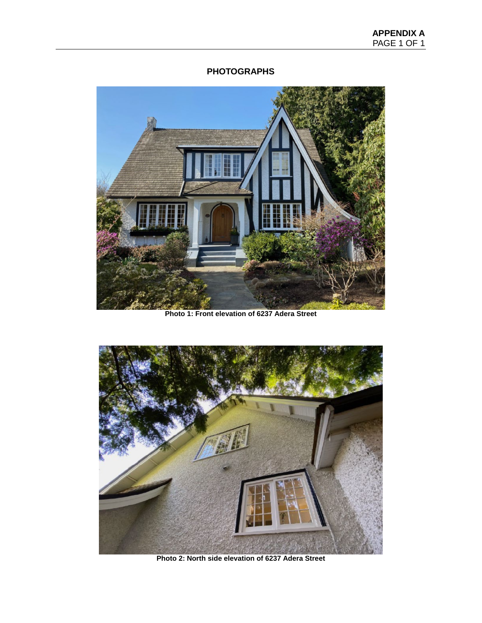# **PHOTOGRAPHS**



**Photo 1: Front elevation of 6237 Adera Street**



**Photo 2: North side elevation of 6237 Adera Street**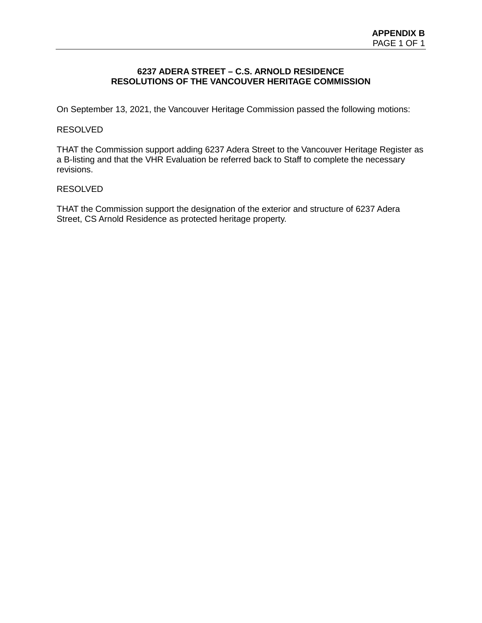### **6237 ADERA STREET – C.S. ARNOLD RESIDENCE RESOLUTIONS OF THE VANCOUVER HERITAGE COMMISSION**

On September 13, 2021, the Vancouver Heritage Commission passed the following motions:

### RESOLVED

THAT the Commission support adding 6237 Adera Street to the Vancouver Heritage Register as a B-listing and that the VHR Evaluation be referred back to Staff to complete the necessary revisions.

### RESOLVED

THAT the Commission support the designation of the exterior and structure of 6237 Adera Street, CS Arnold Residence as protected heritage property.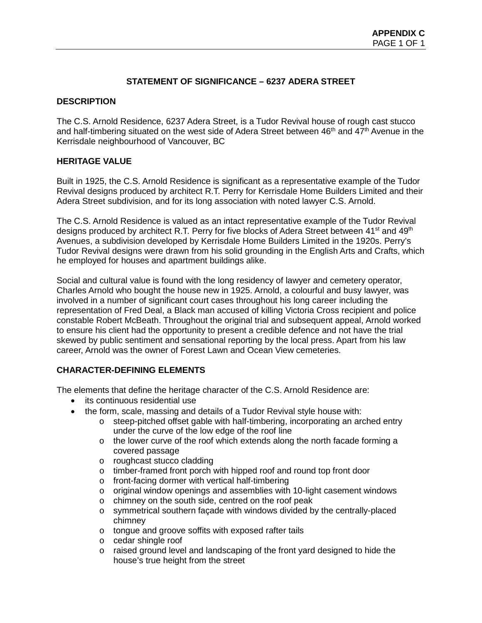# **STATEMENT OF SIGNIFICANCE – 6237 ADERA STREET**

### **DESCRIPTION**

The C.S. Arnold Residence, 6237 Adera Street, is a Tudor Revival house of rough cast stucco and half-timbering situated on the west side of Adera Street between  $46<sup>th</sup>$  and  $47<sup>th</sup>$  Avenue in the Kerrisdale neighbourhood of Vancouver, BC

### **HERITAGE VALUE**

Built in 1925, the C.S. Arnold Residence is significant as a representative example of the Tudor Revival designs produced by architect R.T. Perry for Kerrisdale Home Builders Limited and their Adera Street subdivision, and for its long association with noted lawyer C.S. Arnold.

The C.S. Arnold Residence is valued as an intact representative example of the Tudor Revival designs produced by architect R.T. Perry for five blocks of Adera Street between 41<sup>st</sup> and 49<sup>th</sup> Avenues, a subdivision developed by Kerrisdale Home Builders Limited in the 1920s. Perry's Tudor Revival designs were drawn from his solid grounding in the English Arts and Crafts, which he employed for houses and apartment buildings alike.

Social and cultural value is found with the long residency of lawyer and cemetery operator, Charles Arnold who bought the house new in 1925. Arnold, a colourful and busy lawyer, was involved in a number of significant court cases throughout his long career including the representation of Fred Deal, a Black man accused of killing Victoria Cross recipient and police constable Robert McBeath. Throughout the original trial and subsequent appeal, Arnold worked to ensure his client had the opportunity to present a credible defence and not have the trial skewed by public sentiment and sensational reporting by the local press. Apart from his law career, Arnold was the owner of Forest Lawn and Ocean View cemeteries.

# **CHARACTER-DEFINING ELEMENTS**

The elements that define the heritage character of the C.S. Arnold Residence are:

- its continuous residential use
- the form, scale, massing and details of a Tudor Revival style house with:
	- $\circ$  steep-pitched offset gable with half-timbering, incorporating an arched entry under the curve of the low edge of the roof line
	- o the lower curve of the roof which extends along the north facade forming a covered passage
	- o roughcast stucco cladding
	- o timber-framed front porch with hipped roof and round top front door
	- o front-facing dormer with vertical half-timbering
	- $\circ$  original window openings and assemblies with 10-light casement windows
	- o chimney on the south side, centred on the roof peak<br>o symmetrical southern facade with windows divided b
	- symmetrical southern façade with windows divided by the centrally-placed chimney
	- o tongue and groove soffits with exposed rafter tails
	- o cedar shingle roof
	- o raised ground level and landscaping of the front yard designed to hide the house's true height from the street